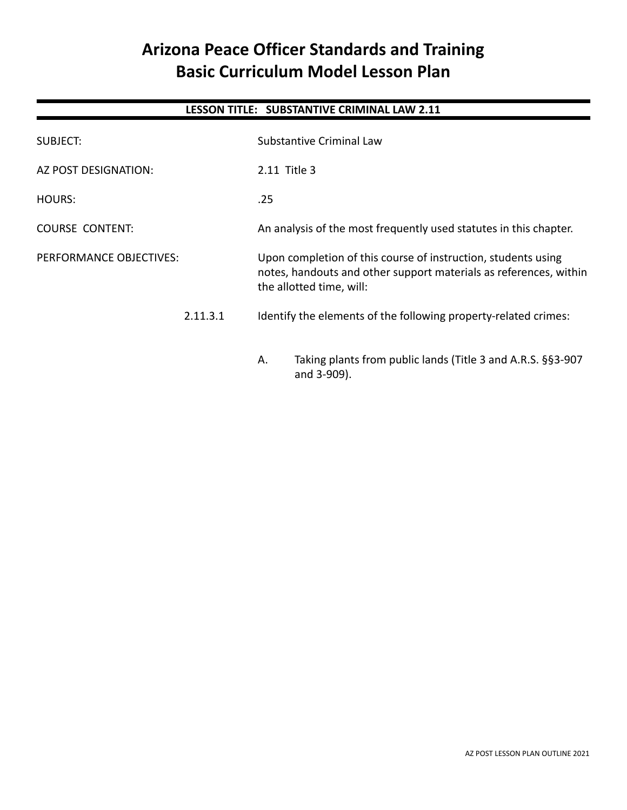# **Arizona Peace Officer Standards and Training Basic Curriculum Model Lesson Plan**

# **LESSON TITLE: SUBSTANTIVE CRIMINAL LAW 2.11**

| SUBJECT:                |          | <b>Substantive Criminal Law</b>                                                                                                                                |  |
|-------------------------|----------|----------------------------------------------------------------------------------------------------------------------------------------------------------------|--|
| AZ POST DESIGNATION:    |          | 2.11 Title 3                                                                                                                                                   |  |
| HOURS:                  |          | .25                                                                                                                                                            |  |
| <b>COURSE CONTENT:</b>  |          | An analysis of the most frequently used statutes in this chapter.                                                                                              |  |
| PERFORMANCE OBJECTIVES: |          | Upon completion of this course of instruction, students using<br>notes, handouts and other support materials as references, within<br>the allotted time, will: |  |
|                         | 2.11.3.1 | Identify the elements of the following property-related crimes:                                                                                                |  |
|                         |          | Taking plants from public lands (Title 3 and A.R.S. §§3-907<br>Α.<br>and 3-909).                                                                               |  |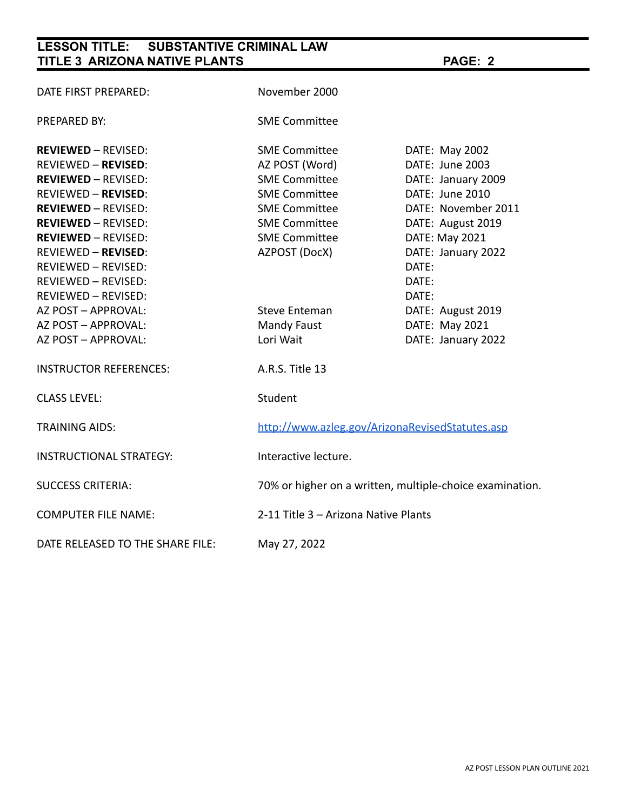# **LESSON TITLE: SUBSTANTIVE CRIMINAL LAW TITLE 3 ARIZONA NATIVE PLANTS PAGE: 2**

| DATE FIRST PREPARED:             | November 2000                                            |                     |
|----------------------------------|----------------------------------------------------------|---------------------|
| PREPARED BY:                     | <b>SME Committee</b>                                     |                     |
| <b>REVIEWED - REVISED:</b>       | <b>SME Committee</b>                                     | DATE: May 2002      |
| <b>REVIEWED - REVISED:</b>       | AZ POST (Word)                                           | DATE: June 2003     |
| <b>REVIEWED - REVISED:</b>       | <b>SME Committee</b>                                     | DATE: January 2009  |
| <b>REVIEWED - REVISED:</b>       | <b>SME Committee</b>                                     | DATE: June 2010     |
| <b>REVIEWED - REVISED:</b>       | <b>SME Committee</b>                                     | DATE: November 2011 |
| <b>REVIEWED - REVISED:</b>       | <b>SME Committee</b>                                     | DATE: August 2019   |
| <b>REVIEWED - REVISED:</b>       | <b>SME Committee</b>                                     | DATE: May 2021      |
| <b>REVIEWED - REVISED:</b>       | AZPOST (DocX)                                            | DATE: January 2022  |
| <b>REVIEWED - REVISED:</b>       |                                                          | DATE:               |
| REVIEWED - REVISED:              |                                                          | DATE:               |
| REVIEWED - REVISED:              |                                                          | DATE:               |
| AZ POST - APPROVAL:              | Steve Enteman                                            | DATE: August 2019   |
| AZ POST - APPROVAL:              | <b>Mandy Faust</b>                                       | DATE: May 2021      |
| AZ POST - APPROVAL:              | Lori Wait                                                | DATE: January 2022  |
| <b>INSTRUCTOR REFERENCES:</b>    | A.R.S. Title 13                                          |                     |
| <b>CLASS LEVEL:</b>              | Student                                                  |                     |
| <b>TRAINING AIDS:</b>            | http://www.azleg.gov/ArizonaRevisedStatutes.asp          |                     |
| <b>INSTRUCTIONAL STRATEGY:</b>   | Interactive lecture.                                     |                     |
| <b>SUCCESS CRITERIA:</b>         | 70% or higher on a written, multiple-choice examination. |                     |
| <b>COMPUTER FILE NAME:</b>       | 2-11 Title 3 - Arizona Native Plants                     |                     |
| DATE RELEASED TO THE SHARE FILE: | May 27, 2022                                             |                     |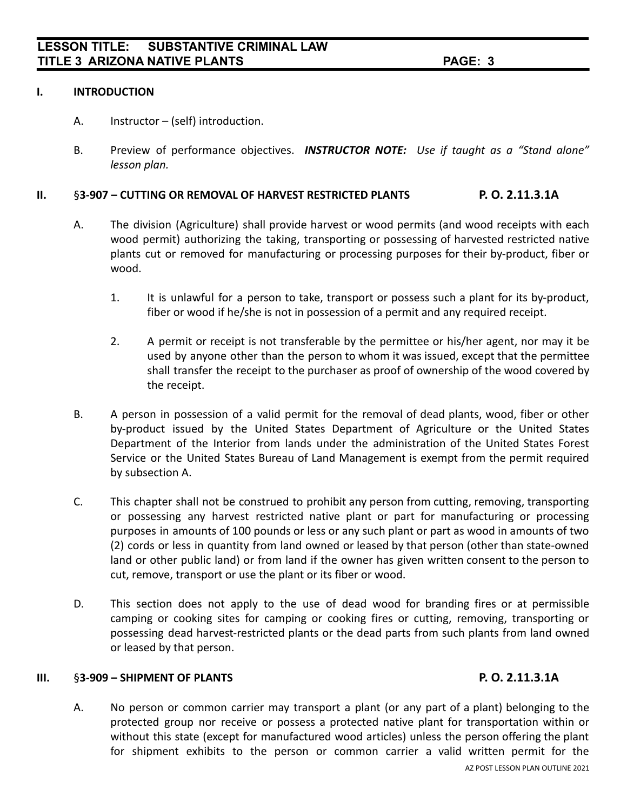#### **I. INTRODUCTION**

- A. Instructor (self) introduction.
- B. Preview of performance objectives. *INSTRUCTOR NOTE: Use if taught as a "Stand alone" lesson plan.*

### **II.** §**3-907 – CUTTING OR REMOVAL OF HARVEST RESTRICTED PLANTS P. O. 2.11.3.1A**

- A. The division (Agriculture) shall provide harvest or wood permits (and wood receipts with each wood permit) authorizing the taking, transporting or possessing of harvested restricted native plants cut or removed for manufacturing or processing purposes for their by-product, fiber or wood.
	- 1. It is unlawful for a person to take, transport or possess such a plant for its by-product, fiber or wood if he/she is not in possession of a permit and any required receipt.
	- 2. A permit or receipt is not transferable by the permittee or his/her agent, nor may it be used by anyone other than the person to whom it was issued, except that the permittee shall transfer the receipt to the purchaser as proof of ownership of the wood covered by the receipt.
- B. A person in possession of a valid permit for the removal of dead plants, wood, fiber or other by-product issued by the United States Department of Agriculture or the United States Department of the Interior from lands under the administration of the United States Forest Service or the United States Bureau of Land Management is exempt from the permit required by subsection A.
- C. This chapter shall not be construed to prohibit any person from cutting, removing, transporting or possessing any harvest restricted native plant or part for manufacturing or processing purposes in amounts of 100 pounds or less or any such plant or part as wood in amounts of two (2) cords or less in quantity from land owned or leased by that person (other than state-owned land or other public land) or from land if the owner has given written consent to the person to cut, remove, transport or use the plant or its fiber or wood.
- D. This section does not apply to the use of dead wood for branding fires or at permissible camping or cooking sites for camping or cooking fires or cutting, removing, transporting or possessing dead harvest-restricted plants or the dead parts from such plants from land owned or leased by that person.

#### **III.** §**3-909 – SHIPMENT OF PLANTS P. O. 2.11.3.1A**

A. No person or common carrier may transport a plant (or any part of a plant) belonging to the protected group nor receive or possess a protected native plant for transportation within or without this state (except for manufactured wood articles) unless the person offering the plant for shipment exhibits to the person or common carrier a valid written permit for the